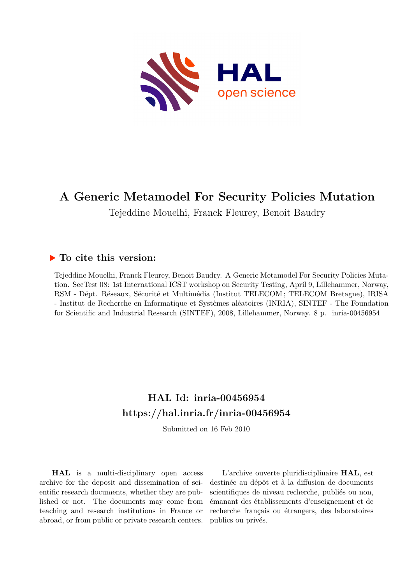

# **A Generic Metamodel For Security Policies Mutation**

Tejeddine Mouelhi, Franck Fleurey, Benoit Baudry

## **To cite this version:**

Tejeddine Mouelhi, Franck Fleurey, Benoit Baudry. A Generic Metamodel For Security Policies Mutation. SecTest 08: 1st International ICST workshop on Security Testing, April 9, Lillehammer, Norway, RSM - Dépt. Réseaux, Sécurité et Multimédia (Institut TELECOM ; TELECOM Bretagne), IRISA - Institut de Recherche en Informatique et Systèmes aléatoires (INRIA), SINTEF - The Foundation for Scientific and Industrial Research (SINTEF), 2008, Lillehammer, Norway. 8 p. inria-00456954

# **HAL Id: inria-00456954 <https://hal.inria.fr/inria-00456954>**

Submitted on 16 Feb 2010

**HAL** is a multi-disciplinary open access archive for the deposit and dissemination of scientific research documents, whether they are published or not. The documents may come from teaching and research institutions in France or abroad, or from public or private research centers.

L'archive ouverte pluridisciplinaire **HAL**, est destinée au dépôt et à la diffusion de documents scientifiques de niveau recherche, publiés ou non, émanant des établissements d'enseignement et de recherche français ou étrangers, des laboratoires publics ou privés.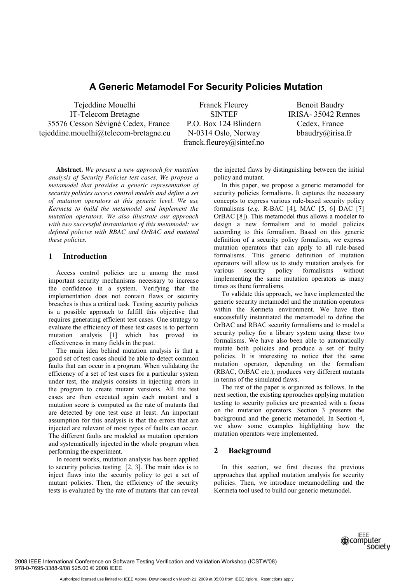## **A Generic Metamodel For Security Policies Mutation**

Tejeddine Mouelhi IT-Telecom Bretagne 35576 Cesson Sévigné Cedex, France tejeddine.mouelhi@telecom-bretagne.eu

Franck Fleurey SINTEF P.O. Box 124 Blindern N-0314 Oslo, Norway franck.fleurey@sintef.no

Benoit Baudry IRISA- 35042 Rennes Cedex, France bbaudry@irisa.fr

**Abstract.** *We present a new approach for mutation analysis of Security Policies test cases. We propose a metamodel that provides a generic representation of security policies access control models and define a set of mutation operators at this generic level. We use Kermeta to build the metamodel and implement the mutation operators. We also illustrate our approach with two successful instantiation of this metamodel: we defined policies with RBAC and OrBAC and mutated these policies.* 

## **1 Introduction**

Access control policies are a among the most important security mechanisms necessary to increase the confidence in a system. Verifying that the implementation does not contain flaws or security breaches is thus a critical task. Testing security policies is a possible approach to fulfill this objective that requires generating efficient test cases. One strategy to evaluate the efficiency of these test cases is to perform mutation analysis [1] which has proved its effectiveness in many fields in the past.

The main idea behind mutation analysis is that a good set of test cases should be able to detect common faults that can occur in a program. When validating the efficiency of a set of test cases for a particular system under test, the analysis consists in injecting errors in the program to create mutant versions. All the test cases are then executed again each mutant and a mutation score is computed as the rate of mutants that are detected by one test case at least. An important assumption for this analysis is that the errors that are injected are relevant of most types of faults can occur. The different faults are modeled as mutation operators and systematically injected in the whole program when performing the experiment.

In recent works, mutation analysis has been applied to security policies testing [2, 3]. The main idea is to inject flaws into the security policy to get a set of mutant policies. Then, the efficiency of the security tests is evaluated by the rate of mutants that can reveal

the injected flaws by distinguishing between the initial policy and mutant.

In this paper, we propose a generic metamodel for security policies formalisms. It captures the necessary concepts to express various rule-based security policy formalisms (*e.g.* R-BAC [4], MAC [5, 6] DAC [7] OrBAC [8]). This metamodel thus allows a modeler to design a new formalism and to model policies according to this formalism. Based on this generic definition of a security policy formalism, we express mutation operators that can apply to all rule-based formalisms. This generic definition of mutation operators will allow us to study mutation analysis for various security policy formalisms without implementing the same mutation operators as many times as there formalisms.

To validate this approach, we have implemented the generic security metamodel and the mutation operators within the Kermeta environment. We have then successfully instantiated the metamodel to define the OrBAC and RBAC security formalisms and to model a security policy for a library system using these two formalisms. We have also been able to automatically mutate both policies and produce a set of faulty policies. It is interesting to notice that the same mutation operator, depending on the formalism (RBAC, OrBAC etc.), produces very different mutants in terms of the simulated flaws.

The rest of the paper is organized as follows. In the next section, the existing approaches applying mutation testing to security policies are presented with a focus on the mutation operators. Section 3 presents the background and the generic metamodel. In Section 4, we show some examples highlighting how the mutation operators were implemented.

## **2 Background**

In this section, we first discuss the previous approaches that applied mutation analysis for security policies. Then, we introduce metamodelling and the Kermeta tool used to build our generic metamodel.

> **IFFF Computer** society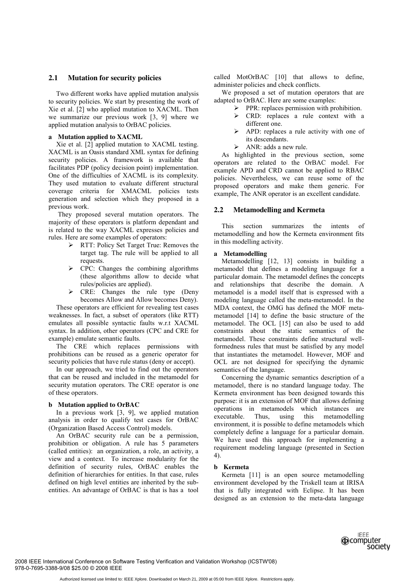## **2.1 Mutation for security policies**

Two different works have applied mutation analysis to security policies. We start by presenting the work of Xie et al. [2] who applied mutation to XACML. Then we summarize our previous work [3, 9] where we applied mutation analysis to OrBAC policies.

#### **a Mutation applied to XACML**

Xie et al. [2] applied mutation to XACML testing. XACML is an Oasis standard XML syntax for defining security policies. A framework is available that facilitates PDP (policy decision point) implementation. One of the difficulties of XACML is its complexity. They used mutation to evaluate different structural coverage criteria for XMACML policies tests generation and selection which they proposed in a previous work.

 They proposed several mutation operators. The majority of these operators is platform dependant and is related to the way XACML expresses policies and rules. Here are some examples of operators:

- $\triangleright$  RTT: Policy Set Target True: Removes the target tag. The rule will be applied to all requests.
- $\triangleright$  CPC: Changes the combining algorithms (these algorithms allow to decide what rules/policies are applied).
- ¾ CRE: Changes the rule type (Deny becomes Allow and Allow becomes Deny).

These operators are efficient for revealing test cases weaknesses. In fact, a subset of operators (like RTT) emulates all possible syntactic faults w.r.t XACML syntax. In addition, other operators (CPC and CRE for example) emulate semantic faults.

The CRE which replaces permissions with prohibitions can be reused as a generic operator for security policies that have rule status (deny or accept).

In our approach, we tried to find out the operators that can be reused and included in the metamodel for security mutation operators. The CRE operator is one of these operators.

#### **b Mutation applied to OrBAC**

In a previous work [3, 9], we applied mutation analysis in order to qualify test cases for OrBAC (Organization Based Access Control) models.

An OrBAC security rule can be a permission, prohibition or obligation. A rule has 5 parameters (called entities): an organization, a role, an activity, a view and a context. To increase modularity for the definition of security rules, OrBAC enables the definition of hierarchies for entities. In that case, rules defined on high level entities are inherited by the subentities. An advantage of OrBAC is that is has a tool called MotOrBAC [10] that allows to define, administer policies and check conflicts.

We proposed a set of mutation operators that are adapted to OrBAC. Here are some examples:

- $\triangleright$  PPR: replaces permission with prohibition.
- $\triangleright$  CRD: replaces a rule context with a different one.
- $\triangleright$  APD: replaces a rule activity with one of its descendants.
- $\triangleright$  ANR: adds a new rule.

As highlighted in the previous section, some operators are related to the OrBAC model. For example APD and CRD cannot be applied to RBAC policies. Nevertheless, we can reuse some of the proposed operators and make them generic. For example, The ANR operator is an excellent candidate.

#### **2.2 Metamodelling and Kermeta**

This section summarizes the intents of metamodelling and how the Kermeta environment fits in this modelling activity.

## **a Metamodelling**

Metamodelling [12, 13] consists in building a metamodel that defines a modeling language for a particular domain. The metamodel defines the concepts and relationships that describe the domain. A metamodel is a model itself that is expressed with a modeling language called the meta-metamodel. In the MDA context, the OMG has defined the MOF metametamodel [14] to define the basic structure of the metamodel. The OCL [15] can also be used to add constraints about the static semantics of the metamodel. These constraints define structural wellformedness rules that must be satisfied by any model that instantiates the metamodel. However, MOF and OCL are not designed for specifying the dynamic semantics of the language.

Concerning the dynamic semantics description of a metamodel, there is no standard language today. The Kermeta environment has been designed towards this purpose: it is an extension of MOF that allows defining operations in metamodels which instances are executable. Thus, using this metamodelling environment, it is possible to define metamodels which completely define a language for a particular domain. We have used this approach for implementing a requirement modeling language (presented in Section 4).

#### **b Kermeta**

Kermeta [11] is an open source metamodelling environment developed by the Triskell team at IRISA that is fully integrated with Eclipse. It has been designed as an extension to the meta-data language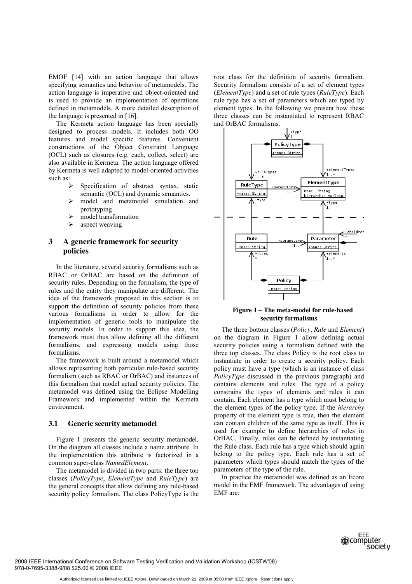EMOF [14] with an action language that allows specifying semantics and behavior of metamodels. The action language is imperative and object-oriented and is used to provide an implementation of operations defined in metamodels. A more detailed description of the language is presented in [16].

The Kermeta action language has been specially designed to process models. It includes both OO features and model specific features. Convenient constructions of the Object Constraint Language (OCL) such as closures (e.g. each, collect, select) are also available in Kermeta. The action language offered by Kermeta is well adapted to model-oriented activities such as:

- Specification of abstract syntax, static semantic (OCL) and dynamic semantics.
- $\triangleright$  model and metamodel simulation and prototyping
- $\triangleright$  model transformation
- $\triangleright$  aspect weaving

## **3 A generic framework for security policies**

In the literature, several security formalisms such as RBAC or OrBAC are based on the definition of security rules. Depending on the formalism, the type of rules and the entity they manipulate are different. The idea of the framework proposed in this section is to support the definition of security policies from these various formalisms in order to allow for the implementation of generic tools to manipulate the security models. In order to support this idea, the framework must thus allow defining all the different formalisms, and expressing models using those formalisms.

The framework is built around a metamodel which allows representing both particular rule-based security formalism (such as RBAC or OrBAC) and instances of this formalism that model actual security policies. The metamodel was defined using the Eclipse Modelling Framework and implemented within the Kermeta environment.

#### **3.1 Generic security metamodel**

Figure 1 presents the generic security metamodel. On the diagram all classes include a name attribute. In the implementation this attribute is factorized in a common super-class *NamedElement*.

The metamodel is divided in two parts: the three top classes (*PolicyType*, *ElementType* and *RuleType*) are the general concepts that allow defining any rule-based security policy formalism. The class PolicyType is the

root class for the definition of security formalism. Security formalism consists of a set of element types (*ElementType*) and a set of rule types (*RuleType*). Each rule type has a set of parameters which are typed by element types. In the following we present how these three classes can be instantiated to represent RBAC and OrBAC formalisms.



**Figure 1 – The meta-model for rule-based security formalisms** 

The three bottom classes (*Policy*, *Rule* and *Element*) on the diagram in Figure 1 allow defining actual security policies using a formalism defined with the three top classes. The class Policy is the root class to instantiate in order to create a security policy. Each policy must have a type (which is an instance of class *PolicyType* discussed in the previous paragraph) and contains elements and rules. The type of a policy constrains the types of elements and rules it can contain. Each element has a type which must belong to the element types of the policy type. If the *hierarchy* property of the element type is true, then the element can contain children of the same type as itself. This is used for example to define hierarchies of roles in OrBAC. Finally, rules can be defined by instantiating the Rule class. Each rule has a type which should again belong to the policy type. Each rule has a set of parameters which types should match the types of the parameters of the type of the rule.

In practice the metamodel was defined as an Ecore model in the EMF framework. The advantages of using EMF are:

> **IFFF @computer** society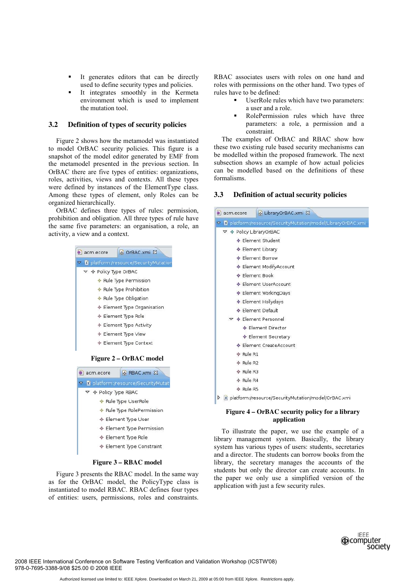- It generates editors that can be directly used to define security types and policies.
- It integrates smoothly in the Kermeta environment which is used to implement the mutation tool.

#### **3.2 Definition of types of security policies**

Figure 2 shows how the metamodel was instantiated to model OrBAC security policies. This figure is a snapshot of the model editor generated by EMF from the metamodel presented in the previous section. In OrBAC there are five types of entities: organizations, roles, activities, views and contexts. All these types were defined by instances of the ElementType class. Among these types of element, only Roles can be organized hierarchically.

OrBAC defines three types of rules: permission, prohibition and obligation. All three types of rule have the same five parameters: an organisation, a role, an activity, a view and a context.



← Element Type Constraint

#### **Figure 3 – RBAC model**

Figure 3 presents the RBAC model. In the same way as for the OrBAC model, the PolicyType class is instantiated to model RBAC. RBAC defines four types of entities: users, permissions, roles and constraints. RBAC associates users with roles on one hand and roles with permissions on the other hand. Two types of rules have to be defined:

- UserRole rules which have two parameters: a user and a role.
- RolePermission rules which have three parameters: a role, a permission and a constraint.

The examples of OrBAC and RBAC show how these two existing rule based security mechanisms can be modelled within the proposed framework. The next subsection shows an example of how actual policies can be modelled based on the definitions of these formalisms.

#### **3.3 Definition of actual security policies**

| LibraryOrBAC.xmi &<br>acm.ecore                     |                                                                |  |
|-----------------------------------------------------|----------------------------------------------------------------|--|
|                                                     | V & platform:/resource/SecurityMutation/model/LibraryOrBAC.xmi |  |
| $\triangledown$ $\blacklozenge$ Policy LibraryOrBAC |                                                                |  |
|                                                     | ← Element Student                                              |  |
|                                                     | ♦ Element Library                                              |  |
|                                                     | ← Element Borrow                                               |  |
| ♦ Element ModifyAccount                             |                                                                |  |
|                                                     | ♦ Element Book                                                 |  |
|                                                     | ← Element UserAccount                                          |  |
|                                                     | ♦ Element WorkingDays                                          |  |
|                                                     | ♦ Element Hollydays                                            |  |
|                                                     | ← Element Default                                              |  |
|                                                     | ▽ ◆ Element Personnel                                          |  |
|                                                     | ♦ Element Director                                             |  |
|                                                     | ♦ Element Secretary                                            |  |
|                                                     | ♦ Element CreateAccount                                        |  |
| $\triangle$ Rule R1                                 |                                                                |  |
| ← Rule R2                                           |                                                                |  |
| ♦ Rule R3                                           |                                                                |  |
| $\triangle$ Rule R4                                 |                                                                |  |
| $\triangle$ Rule R5                                 |                                                                |  |
|                                                     | X platform:/resource/SecurityMutation/model/OrBAC.xmi          |  |
|                                                     | Figure 4 – OrBAC security policy for a library<br>application  |  |

To illustrate the paper, we use the example of a library management system. Basically, the library system has various types of users: students, secretaries and a director. The students can borrow books from the library, the secretary manages the accounts of the students but only the director can create accounts. In the paper we only use a simplified version of the application with just a few security rules.

> **IFFF @computer** society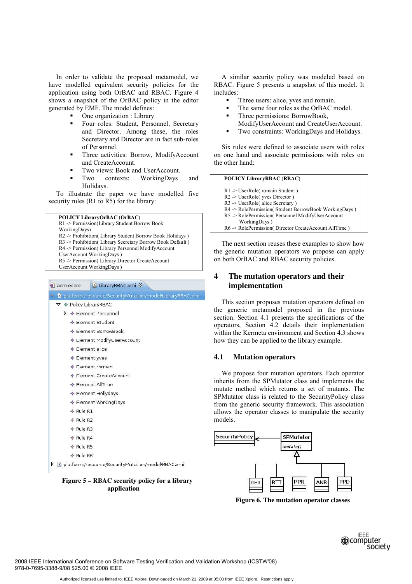In order to validate the proposed metamodel, we have modelled equivalent security policies for the application using both OrBAC and RBAC. Figure 4 shows a snapshot of the OrBAC policy in the editor generated by EMF. The model defines:

One organization : Library

- Four roles: Student, Personnel, Secretary and Director. Among these, the roles Secretary and Director are in fact sub-roles of Personnel.
- Three activities: Borrow, ModifyAccount and CreateAccount.
- Two views: Book and UserAccount.
- Two contexts: WorkingDays and Holidays.

To illustrate the paper we have modelled five security rules (R1 to  $\overline{RS}$ ) for the library:

R1 -> Permission(Library Student Borrow Book

WorkingDays)

- R2 -> Prohibition( Library Student Borrow Book Holidays )
- R3 -> Prohibition( Library Secretary Borrow Book Default )

R4 -> Permission( Library Personnel ModifyAccount

- UserAccount WorkingDays )
- R5 -> Permission( Library Director CreateAccount UserAccount WorkingDays )

| ▽ | 18 platform:/resource/SecurityMutation/model/LibraryRBAC.xmi |  |
|---|--------------------------------------------------------------|--|
|   | $\triangledown$ $\blacklozenge$ Policy LibraryRBAC           |  |
|   | $\triangleright$ $\blacklozenge$ Element Personnel           |  |
|   | ← Flement Student                                            |  |
|   | ← Element BorrowBook                                         |  |
|   | ♦ Element ModifyUserAccount                                  |  |
|   | ← Element alice                                              |  |
|   | ♦ Element yves                                               |  |
|   | Element romain                                               |  |
|   | ← Element CreateAccount                                      |  |
|   | ← Flement AllTime                                            |  |
|   | ← Element Hollydays                                          |  |
|   | ← Element WorkingDays                                        |  |
|   | $\Leftrightarrow$ Rule R1                                    |  |
|   | $\triangle$ Rule R2                                          |  |
|   | ← Rule R3                                                    |  |
|   | ← Rule R4                                                    |  |
|   | ← Rule R5                                                    |  |
|   | ← Rule R6                                                    |  |

**Figure 5 – RBAC security policy for a library application** 

A similar security policy was modeled based on RBAC. Figure 5 presents a snapshot of this model. It includes:

- Three users: alice, yves and romain.
- The same four roles as the OrBAC model.
- Three permissions: BorrowBook.
- ModifyUserAccount and CreateUserAccount.
- Two constraints: WorkingDays and Holidays.

Six rules were defined to associate users with roles on one hand and associate permissions with roles on the other hand:

#### **POLICY LibraryRBAC (RBAC)**

- R1 -> UserRole( romain Student )
- R2 -> UserRole( yves Director )
- R3 -> UserRole( alice Secretary )
- R4 -> RolePermission( Student BorrowBook WorkingDays )
- R5 -> RolePermission( Personnel ModifyUserAccount

WorkingDays )

R6 -> RolePermission( Director CreateAccount AllTime )

The next section reuses these examples to show how the generic mutation operators we propose can apply on both OrBAC and RBAC security policies.

## **4 The mutation operators and their implementation**

This section proposes mutation operators defined on the generic metamodel proposed in the previous section. Section 4.1 presents the specifications of the operators, Section 4.2 details their implementation within the Kermeta environment and Section 4.3 shows how they can be applied to the library example.

#### **4.1 Mutation operators**

We propose four mutation operators. Each operator inherits from the SPMutator class and implements the mutate method which returns a set of mutants. The SPMutator class is related to the SecurityPolicy class from the generic security framework. This association allows the operator classes to manipulate the security models.



**Figure 6. The mutation operator classes**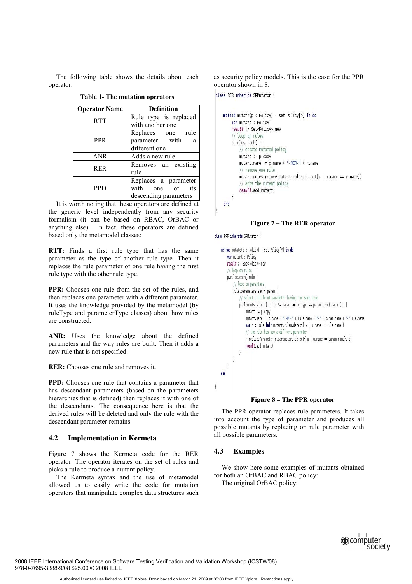The following table shows the details about each operator.

| <b>Operator Name</b> | <b>Definition</b>     |
|----------------------|-----------------------|
| <b>RTT</b>           | Rule type is replaced |
|                      | with another one      |
|                      | Replaces one rule     |
| <b>PPR</b>           | parameter with<br>a   |
|                      | different one         |
| <b>ANR</b>           | Adds a new rule       |
| <b>RER</b>           | Removes an existing   |
|                      | rule                  |
|                      | Replaces a parameter  |
| <b>PPD</b>           | with one of<br>its    |
|                      | descending parameters |

**Table 1- The mutation operators** 

It is worth noting that these operators are defined at the generic level independently from any security formalism (it can be based on RBAC, OrBAC or anything else). In fact, these operators are defined based only the metamodel classes:

**RTT:** Finds a first rule type that has the same parameter as the type of another rule type. Then it replaces the rule parameter of one rule having the first rule type with the other rule type.

**PPR:** Chooses one rule from the set of the rules, and then replaces one parameter with a different parameter. It uses the knowledge provided by the metamodel (by ruleType and parameterType classes) about how rules are constructed.

**ANR:** Uses the knowledge about the defined parameters and the way rules are built. Then it adds a new rule that is not specified.

**RER:** Chooses one rule and removes it.

**PPD:** Chooses one rule that contains a parameter that has descendant parameters (based on the parameters hierarchies that is defined) then replaces it with one of the descendants. The consequence here is that the derived rules will be deleted and only the rule with the descendant parameter remains.

## **4.2 Implementation in Kermeta**

Figure 7 shows the Kermeta code for the RER operator. The operator iterates on the set of rules and picks a rule to produce a mutant policy.

The Kermeta syntax and the use of metamodel allowed us to easily write the code for mutation operators that manipulate complex data structures such

as security policy models. This is the case for the PPR operator shown in 8.

```
class RER inherits SPMutator {
```

```
method mutate(p : Policy) : set Policy[*] is do
var mutant : Policy
result := Set <Policy>.new
// loop on rules
p.rules.each{ r |
    // create mutated policy
    mutant := p.copymutant.name := p.name + "-RER-" + r.name
    // remove one rule
    mutant.rules.remove(mutant.rules.detect{x | x.name == r.name})
    // adds the mutant policy
    result.add(mutant)
\overline{\ }end
```
#### **Figure 7 – The RER operator**

class PPR inherits SPMutator {

 $\overline{\ }$ 

```
method mutate(p : Policy) : set Policy[*] is do
var mutant : Policy
result := Set<Policy>.new
// loop on rules
p.rules.each{ rule |
    // loop on paramters
    rule.parameters.each{ param |
        // select a diffrent parameter having the same type
        p.elements.select{ e | e != param and e.type == param.type}.each { e |
            mutant := p.copymutant.name := p.name + "-PPR-" + rule.name + "-" + param.name + "-" + e.name
            var r : Rule init mutant.rules.detect{ x \mid x.name == rule.name }
            // the rule has now a diffrent parameter
            r.replaceParameter(r.parameters.detect{ u | u.name == param.name}, e)
            result.add(mutant)
       \left\{ \right\}\mathcal{L}\}end
```
## **Figure 8 – The PPR operator**

The PPR operator replaces rule parameters. It takes into account the type of parameter and produces all possible mutants by replacing on rule parameter with all possible parameters.

## **4.3 Examples**

We show here some examples of mutants obtained for both an OrBAC and RBAC policy: The original OrBAC policy:

> **IFFF @computer** society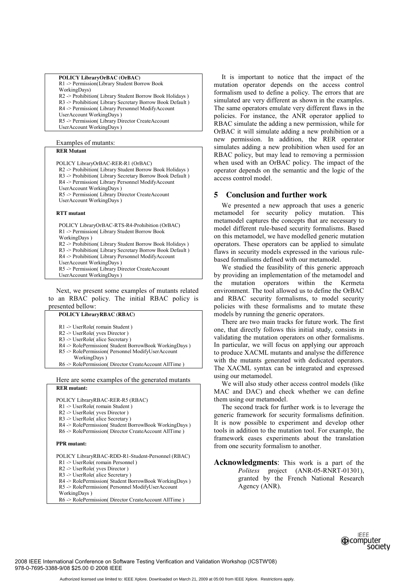#### **POLICY LibraryOrBAC (OrBAC)**  R1 -> Permission(Library Student Borrow Book WorkingDays) R2 -> Prohibition( Library Student Borrow Book Holidays ) R3 -> Prohibition( Library Secretary Borrow Book Default ) R4 -> Permission( Library Personnel ModifyAccount UserAccount WorkingDays ) R5 -> Permission( Library Director CreateAccount UserAccount WorkingDays )

#### Examples of mutants:

## **RER Mutant**

POLICY LibraryOrBAC-RER-R1 (OrBAC) R2 -> Prohibition( Library Student Borrow Book Holidays ) R3 -> Prohibition( Library Secretary Borrow Book Default ) R4 -> Permission( Library Personnel ModifyAccount UserAccount WorkingDays ) R5 -> Permission( Library Director CreateAccount UserAccount WorkingDays )

#### **RTT mutant**

 POLICY LibraryOrBAC-RTS-R4-Prohibition (OrBAC) R1 -> Permission( Library Student Borrow Book WorkingDays ) R2 -> Prohibition( Library Student Borrow Book Holidays ) R3 -> Prohibition( Library Secretary Borrow Book Default ) R4 -> Prohibition( Library Personnel ModifyAccount UserAccount WorkingDays ) R5 -> Permission( Library Director CreateAccount UserAccount WorkingDays )

Next, we present some examples of mutants related to an RBAC policy. The initial RBAC policy is presented bellow:

#### **POLICY LibraryRBAC (RBAC)**

- R1 -> UserRole( romain Student )
- R2 -> UserRole( yves Director )
- R3 -> UserRole( alice Secretary )
- R4 -> RolePermission( Student BorrowBook WorkingDays )
- R5 -> RolePermission( Personnel ModifyUserAccount
- WorkingDays )
- R6 -> RolePermission( Director CreateAccount AllTime )

#### Here are some examples of the generated mutants **RER mutant:**

- POLICY LibraryRBAC-RER-R5 (RBAC)
- R1 -> UserRole( romain Student )
- R2 -> UserRole( yves Director )
- R3 -> UserRole( alice Secretary )
- R4 -> RolePermission( Student BorrowBook WorkingDays )
- R6 -> RolePermission( Director CreateAccount AllTime )

#### **PPR mutant:**

POLICY LibraryRBAC-RDD-R1-Student-Personnel (RBAC)

- R1 -> UserRole( romain Personnel )
- R2 -> UserRole( yves Director )
- R3 -> UserRole( alice Secretary )
- R4 -> RolePermission( Student BorrowBook WorkingDays ) R5 -> RolePermission( Personnel ModifyUserAccount
- WorkingDays )
- R6 -> RolePermission( Director CreateAccount AllTime )

It is important to notice that the impact of the mutation operator depends on the access control formalism used to define a policy. The errors that are simulated are very different as shown in the examples. The same operators emulate very different flaws in the policies. For instance, the ANR operator applied to RBAC simulate the adding a new permission, while for OrBAC it will simulate adding a new prohibition or a new permission. In addition, the RER operator simulates adding a new prohibition when used for an RBAC policy, but may lead to removing a permission when used with an OrBAC policy. The impact of the operator depends on the semantic and the logic of the access control model.

## **5 Conclusion and further work**

We presented a new approach that uses a generic metamodel for security policy mutation. This metamodel captures the concepts that are necessary to model different rule-based security formalisms. Based on this metamodel, we have modelled generic mutation operators. These operators can be applied to simulate flaws in security models expressed in the various rulebased formalisms defined with our metamodel.

We studied the feasibility of this generic approach by providing an implementation of the metamodel and the mutation operators within the Kermeta environment. The tool allowed us to define the OrBAC and RBAC security formalisms, to model security policies with these formalisms and to mutate these models by running the generic operators.

There are two main tracks for future work. The first one, that directly follows this initial study, consists in validating the mutation operators on other formalisms. In particular, we will focus on applying our approach to produce XACML mutants and analyse the difference with the mutants generated with dedicated operators. The XACML syntax can be integrated and expressed using our metamodel.

We will also study other access control models (like MAC and DAC) and check whether we can define them using our metamodel.

The second track for further work is to leverage the generic framework for security formalisms definition. It is now possible to experiment and develop other tools in addition to the mutation tool. For example, the framework eases experiments about the translation from one security formalism to another.

**Acknowledgments**: This work is a part of the *Politess* project (ANR-05-RNRT-01301), granted by the French National Research Agency (ANR).

> **IFFF @computer** society